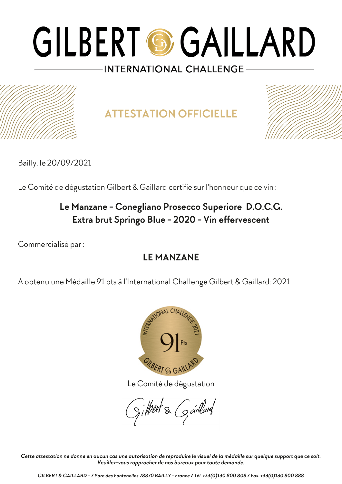**ATTESTATION OFFICIELLE**



Bailly, le 20/09/2021

Le Comité de dégustation Gilbert & Gaillard certifie sur l'honneur que ce vin :

### **Le Manzane - Conegliano Prosecco Superiore D.O.C.G. Extra brut Springo Blue - 2020 - Vin effervescent**

Commercialisé par :

### **LE MANZANE**

A obtenu une Médaille 91 pts à l'International Challenge Gilbert & Gaillard: 2021



Le Comité de dégustation

gilbert & Gardard

*Cette attestation ne donne en aucun cas une autorisation de reproduire le visuel de la médaille sur quelque support que ce soit. Veuillez-vous rapprocher de nos bureaux pour toute demande.*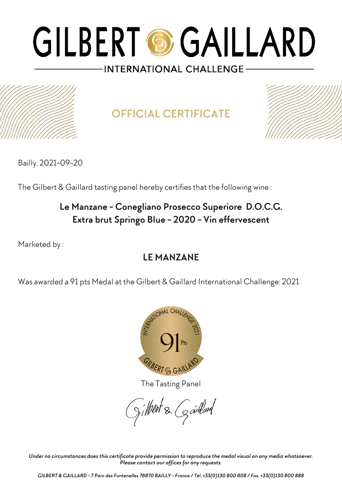

**OFFICIAL CERTIFICATE**



Bailly, 2021-09-20

The Gilbert & Gaillard tasting panel hereby certifies that the following wine :

### **Le Manzane - Conegliano Prosecco Superiore D.O.C.G. Extra brut Springo Blue - 2020 - Vin effervescent**

Marketed by :

### **LE MANZANE**

Was awarded a 91 pts Medal at the Gilbert & Gaillard International Challenge: 2021



The Tasting Panel

gilbert & Gardard

*Under no circumstances does this certificate provide permission to reproduce the medal visual on any media whatsoever. Please contact our offices for any requests.*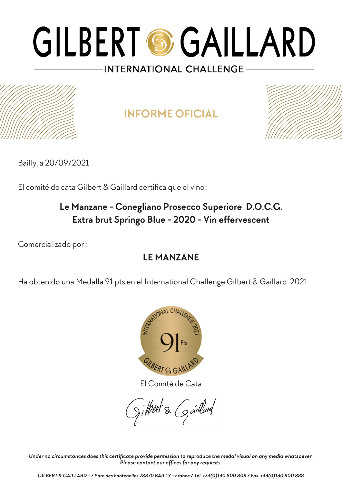## **INFORME OFICIAL**



Bailly, a 20/09/2021

El comité de cata Gilbert & Gaillard certifica que el vino :

### **Le Manzane - Conegliano Prosecco Superiore D.O.C.G. Extra brut Springo Blue - 2020 - Vin effervescent**

Comercializado por :

### **LE MANZANE**

Ha obtenido una Medalla 91 pts en el International Challenge Gilbert & Gaillard: 2021



El Comité de Cata

gilbert & Gardard

*Under no circumstances does this certificate provide permission to reproduce the medal visual on any media whatsoever. Please contact our offices for any requests.*